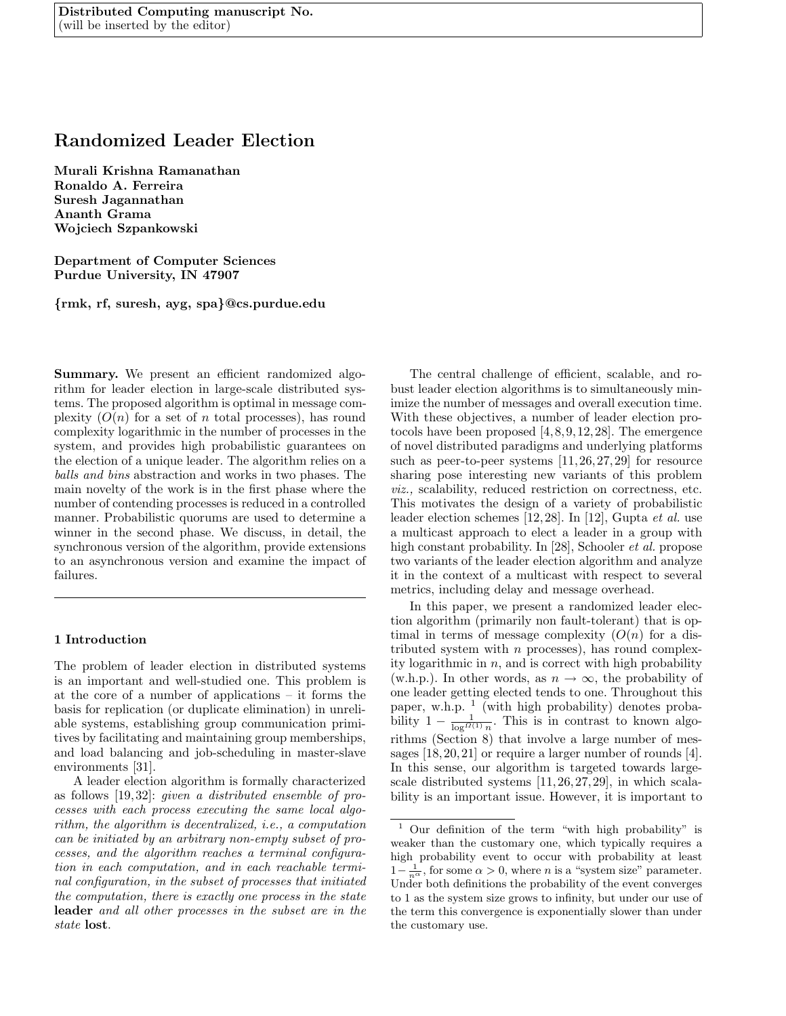# Randomized Leader Election

Murali Krishna Ramanathan Ronaldo A. Ferreira Suresh Jagannathan Ananth Grama Wojciech Szpankowski

# Department of Computer Sciences Purdue University, IN 47907

{rmk, rf, suresh, ayg, spa}@cs.purdue.edu

Summary. We present an efficient randomized algorithm for leader election in large-scale distributed systems. The proposed algorithm is optimal in message complexity  $(O(n)$  for a set of n total processes), has round complexity logarithmic in the number of processes in the system, and provides high probabilistic guarantees on the election of a unique leader. The algorithm relies on a balls and bins abstraction and works in two phases. The main novelty of the work is in the first phase where the number of contending processes is reduced in a controlled manner. Probabilistic quorums are used to determine a winner in the second phase. We discuss, in detail, the synchronous version of the algorithm, provide extensions to an asynchronous version and examine the impact of failures.

#### 1 Introduction

The problem of leader election in distributed systems is an important and well-studied one. This problem is at the core of a number of applications – it forms the basis for replication (or duplicate elimination) in unreliable systems, establishing group communication primitives by facilitating and maintaining group memberships, and load balancing and job-scheduling in master-slave environments [31].

A leader election algorithm is formally characterized as follows [19,32]: given a distributed ensemble of processes with each process executing the same local algorithm, the algorithm is decentralized, i.e., a computation can be initiated by an arbitrary non-empty subset of processes, and the algorithm reaches a terminal configuration in each computation, and in each reachable terminal configuration, in the subset of processes that initiated the computation, there is exactly one process in the state leader and all other processes in the subset are in the state lost.

The central challenge of efficient, scalable, and robust leader election algorithms is to simultaneously minimize the number of messages and overall execution time. With these objectives, a number of leader election protocols have been proposed [4,8,9,12,28]. The emergence of novel distributed paradigms and underlying platforms such as peer-to-peer systems [11,26,27,29] for resource sharing pose interesting new variants of this problem viz., scalability, reduced restriction on correctness, etc. This motivates the design of a variety of probabilistic leader election schemes [12,28]. In [12], Gupta et al. use a multicast approach to elect a leader in a group with high constant probability. In [28], Schooler *et al.* propose two variants of the leader election algorithm and analyze it in the context of a multicast with respect to several metrics, including delay and message overhead.

In this paper, we present a randomized leader election algorithm (primarily non fault-tolerant) that is optimal in terms of message complexity  $(O(n))$  for a distributed system with  $n$  processes), has round complexity logarithmic in  $n$ , and is correct with high probability (w.h.p.). In other words, as  $n \to \infty$ , the probability of one leader getting elected tends to one. Throughout this paper, w.h.p.<sup>1</sup> (with high probability) denotes probability  $1 - \frac{1}{\log^{O(1)} n}$ . This is in contrast to known algorithms (Section 8) that involve a large number of messages [18,20,21] or require a larger number of rounds [4]. In this sense, our algorithm is targeted towards largescale distributed systems [11,26,27,29], in which scalability is an important issue. However, it is important to

<sup>&</sup>lt;sup>1</sup> Our definition of the term "with high probability" is weaker than the customary one, which typically requires a high probability event to occur with probability at least  $1 \frac{1}{n^{\alpha}}$ , for some  $\alpha > 0$ , where *n* is a "system size" parameter. Under both definitions the probability of the event converges to 1 as the system size grows to infinity, but under our use of the term this convergence is exponentially slower than under the customary use.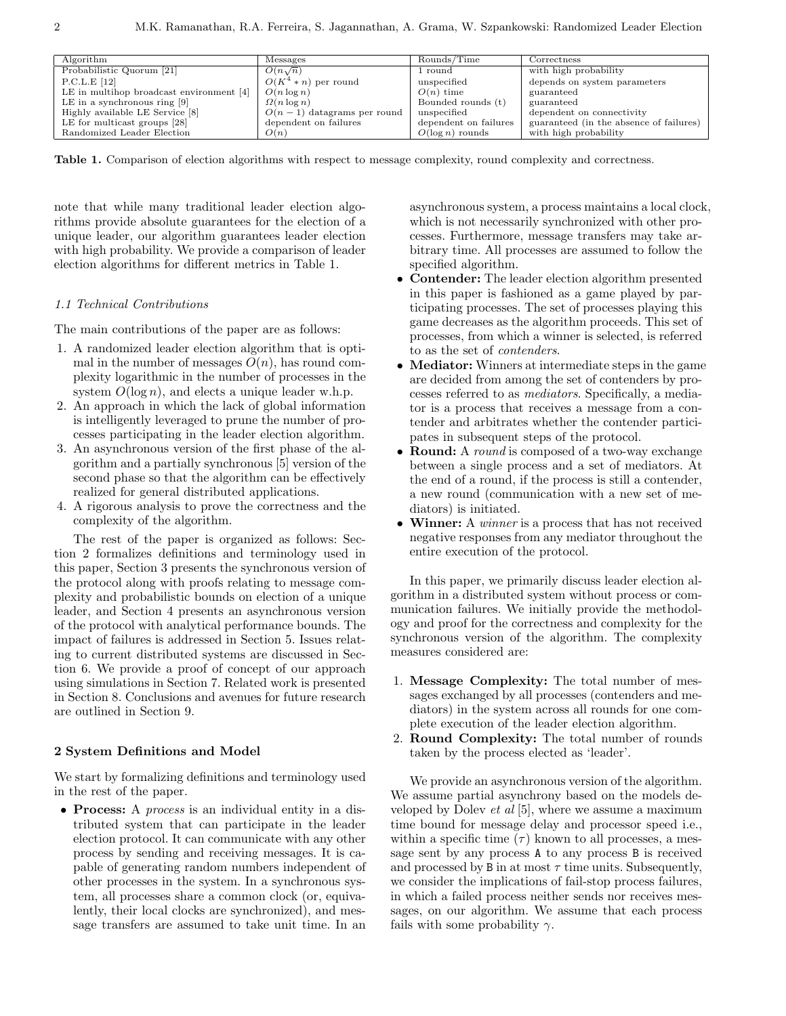| Algorithm                                | Messages                     | Rounds/Time           | Correctness                             |
|------------------------------------------|------------------------------|-----------------------|-----------------------------------------|
| Probabilistic Quorum [21]                | $O(n\sqrt{n})$               | 1 round               | with high probability                   |
| P.C.L.E <sub>12</sub>                    | $O(K^4 * n)$ per round       | unspecified           | depends on system parameters            |
| LE in multihop broadcast environment [4] | $O(n \log n)$                | $O(n)$ time           | guaranteed                              |
| LE in a synchronous ring $[9]$           | $\Omega(n \log n)$           | Bounded rounds (t)    | guaranteed                              |
| Highly available LE Service [8]          | $O(n-1)$ datagrams per round | unspecified           | dependent on connectivity               |
| LE for multicast groups $[28]$           | dependent on failures        | dependent on failures | guaranteed (in the absence of failures) |
| Randomized Leader Election               | O(n)                         | $O(\log n)$ rounds    | with high probability                   |

Table 1. Comparison of election algorithms with respect to message complexity, round complexity and correctness.

note that while many traditional leader election algorithms provide absolute guarantees for the election of a unique leader, our algorithm guarantees leader election with high probability. We provide a comparison of leader election algorithms for different metrics in Table 1.

# 1.1 Technical Contributions

The main contributions of the paper are as follows:

- 1. A randomized leader election algorithm that is optimal in the number of messages  $O(n)$ , has round complexity logarithmic in the number of processes in the system  $O(\log n)$ , and elects a unique leader w.h.p.
- 2. An approach in which the lack of global information is intelligently leveraged to prune the number of processes participating in the leader election algorithm.
- 3. An asynchronous version of the first phase of the algorithm and a partially synchronous [5] version of the second phase so that the algorithm can be effectively realized for general distributed applications.
- 4. A rigorous analysis to prove the correctness and the complexity of the algorithm.

The rest of the paper is organized as follows: Section 2 formalizes definitions and terminology used in this paper, Section 3 presents the synchronous version of the protocol along with proofs relating to message complexity and probabilistic bounds on election of a unique leader, and Section 4 presents an asynchronous version of the protocol with analytical performance bounds. The impact of failures is addressed in Section 5. Issues relating to current distributed systems are discussed in Section 6. We provide a proof of concept of our approach using simulations in Section 7. Related work is presented in Section 8. Conclusions and avenues for future research are outlined in Section 9.

# 2 System Definitions and Model

We start by formalizing definitions and terminology used in the rest of the paper.

• Process: A process is an individual entity in a distributed system that can participate in the leader election protocol. It can communicate with any other process by sending and receiving messages. It is capable of generating random numbers independent of other processes in the system. In a synchronous system, all processes share a common clock (or, equivalently, their local clocks are synchronized), and message transfers are assumed to take unit time. In an asynchronous system, a process maintains a local clock, which is not necessarily synchronized with other processes. Furthermore, message transfers may take arbitrary time. All processes are assumed to follow the specified algorithm.

- **Contender:** The leader election algorithm presented in this paper is fashioned as a game played by participating processes. The set of processes playing this game decreases as the algorithm proceeds. This set of processes, from which a winner is selected, is referred to as the set of contenders.
- Mediator: Winners at intermediate steps in the game are decided from among the set of contenders by processes referred to as mediators. Specifically, a mediator is a process that receives a message from a contender and arbitrates whether the contender participates in subsequent steps of the protocol.
- Round: A round is composed of a two-way exchange between a single process and a set of mediators. At the end of a round, if the process is still a contender, a new round (communication with a new set of mediators) is initiated.
- Winner: A winner is a process that has not received negative responses from any mediator throughout the entire execution of the protocol.

In this paper, we primarily discuss leader election algorithm in a distributed system without process or communication failures. We initially provide the methodology and proof for the correctness and complexity for the synchronous version of the algorithm. The complexity measures considered are:

- 1. Message Complexity: The total number of messages exchanged by all processes (contenders and mediators) in the system across all rounds for one complete execution of the leader election algorithm.
- 2. Round Complexity: The total number of rounds taken by the process elected as 'leader'.

We provide an asynchronous version of the algorithm. We assume partial asynchrony based on the models developed by Dolev  $et al [5]$ , where we assume a maximum time bound for message delay and processor speed i.e., within a specific time  $(\tau)$  known to all processes, a message sent by any process A to any process B is received and processed by  $B$  in at most  $\tau$  time units. Subsequently, we consider the implications of fail-stop process failures, in which a failed process neither sends nor receives messages, on our algorithm. We assume that each process fails with some probability  $\gamma$ .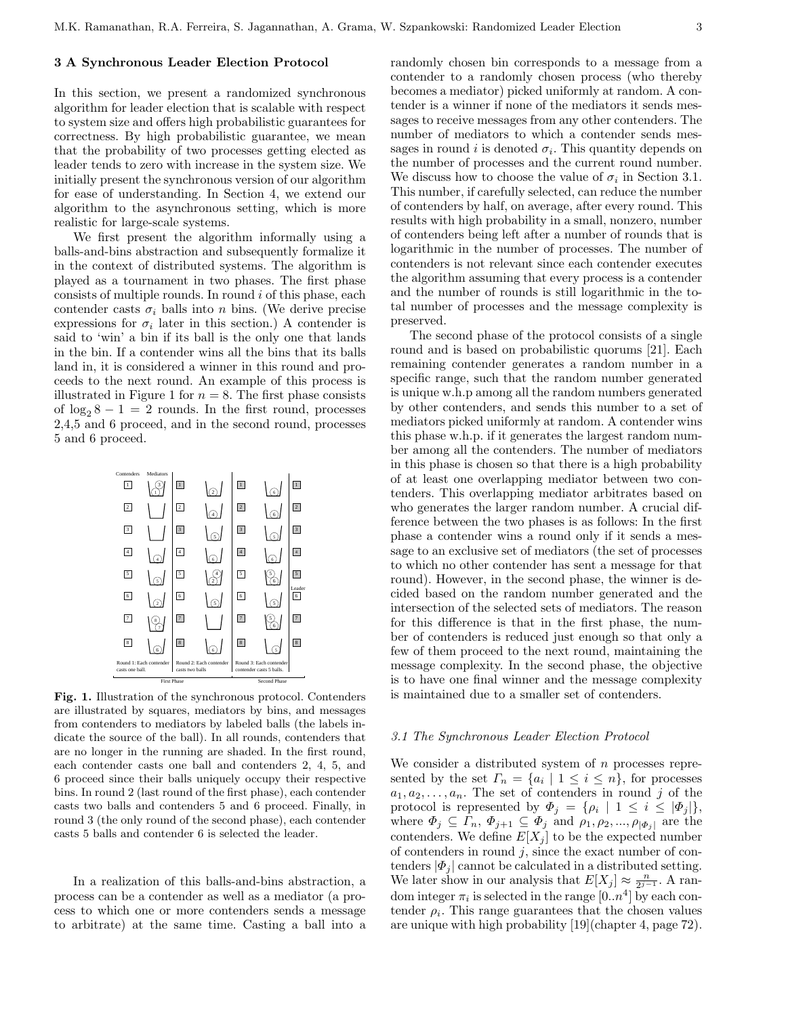#### 3 A Synchronous Leader Election Protocol

In this section, we present a randomized synchronous algorithm for leader election that is scalable with respect to system size and offers high probabilistic guarantees for correctness. By high probabilistic guarantee, we mean that the probability of two processes getting elected as leader tends to zero with increase in the system size. We initially present the synchronous version of our algorithm for ease of understanding. In Section 4, we extend our algorithm to the asynchronous setting, which is more realistic for large-scale systems.

We first present the algorithm informally using a balls-and-bins abstraction and subsequently formalize it in the context of distributed systems. The algorithm is played as a tournament in two phases. The first phase consists of multiple rounds. In round  $i$  of this phase, each contender casts  $\sigma_i$  balls into n bins. (We derive precise expressions for  $\sigma_i$  later in this section.) A contender is said to 'win' a bin if its ball is the only one that lands in the bin. If a contender wins all the bins that its balls land in, it is considered a winner in this round and proceeds to the next round. An example of this process is illustrated in Figure 1 for  $n = 8$ . The first phase consists of  $\log_2 8 - 1 = 2$  rounds. In the first round, processes 2,4,5 and 6 proceed, and in the second round, processes 5 and 6 proceed.



Fig. 1. Illustration of the synchronous protocol. Contenders are illustrated by squares, mediators by bins, and messages from contenders to mediators by labeled balls (the labels indicate the source of the ball). In all rounds, contenders that are no longer in the running are shaded. In the first round, each contender casts one ball and contenders 2, 4, 5, and 6 proceed since their balls uniquely occupy their respective bins. In round 2 (last round of the first phase), each contender casts two balls and contenders 5 and 6 proceed. Finally, in round 3 (the only round of the second phase), each contender casts 5 balls and contender 6 is selected the leader.

In a realization of this balls-and-bins abstraction, a process can be a contender as well as a mediator (a process to which one or more contenders sends a message to arbitrate) at the same time. Casting a ball into a randomly chosen bin corresponds to a message from a contender to a randomly chosen process (who thereby becomes a mediator) picked uniformly at random. A contender is a winner if none of the mediators it sends messages to receive messages from any other contenders. The number of mediators to which a contender sends messages in round *i* is denoted  $\sigma_i$ . This quantity depends on the number of processes and the current round number. We discuss how to choose the value of  $\sigma_i$  in Section 3.1. This number, if carefully selected, can reduce the number of contenders by half, on average, after every round. This results with high probability in a small, nonzero, number of contenders being left after a number of rounds that is logarithmic in the number of processes. The number of contenders is not relevant since each contender executes the algorithm assuming that every process is a contender and the number of rounds is still logarithmic in the total number of processes and the message complexity is preserved.

The second phase of the protocol consists of a single round and is based on probabilistic quorums [21]. Each remaining contender generates a random number in a specific range, such that the random number generated is unique w.h.p among all the random numbers generated by other contenders, and sends this number to a set of mediators picked uniformly at random. A contender wins this phase w.h.p. if it generates the largest random number among all the contenders. The number of mediators in this phase is chosen so that there is a high probability of at least one overlapping mediator between two contenders. This overlapping mediator arbitrates based on who generates the larger random number. A crucial difference between the two phases is as follows: In the first phase a contender wins a round only if it sends a message to an exclusive set of mediators (the set of processes to which no other contender has sent a message for that round). However, in the second phase, the winner is decided based on the random number generated and the intersection of the selected sets of mediators. The reason for this difference is that in the first phase, the number of contenders is reduced just enough so that only a few of them proceed to the next round, maintaining the message complexity. In the second phase, the objective is to have one final winner and the message complexity is maintained due to a smaller set of contenders.

#### 3.1 The Synchronous Leader Election Protocol

We consider a distributed system of  $n$  processes represented by the set  $\Gamma_n = \{a_i \mid 1 \leq i \leq n\}$ , for processes  $a_1, a_2, \ldots, a_n$ . The set of contenders in round j of the protocol is represented by  $\Phi_j = {\rho_i \mid 1 \leq i \leq |\Phi_j|},$ where  $\Phi_j \subseteq \Gamma_n$ ,  $\Phi_{j+1} \subseteq \Phi_j$  and  $\rho_1, \rho_2, ..., \rho_{|\Phi_j|}$  are the contenders. We define  $E[X_j]$  to be the expected number of contenders in round  $j$ , since the exact number of contenders  $|\Phi_i|$  cannot be calculated in a distributed setting. We later show in our analysis that  $E[X_j] \approx \frac{n}{2^{j-1}}$ . A random integer  $\pi_i$  is selected in the range  $[0..n^4]$  by each contender  $\rho_i$ . This range guarantees that the chosen values are unique with high probability [19](chapter 4, page 72).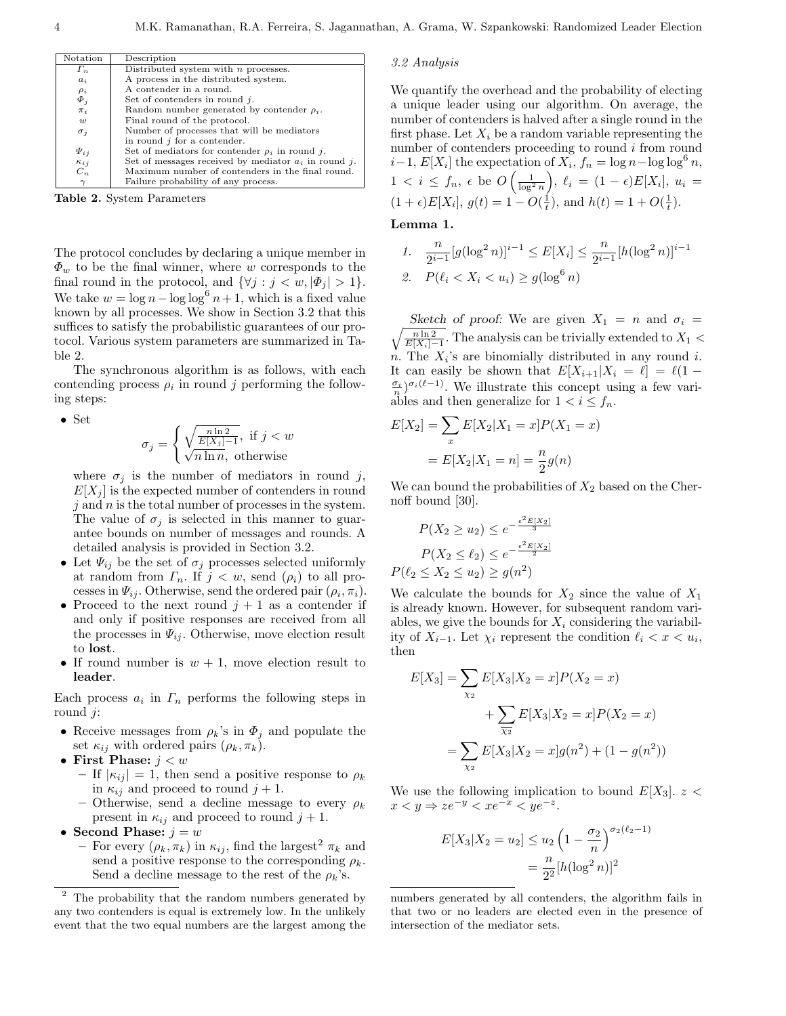| Notation      | Description                                            |
|---------------|--------------------------------------------------------|
| $\Gamma_n$    | Distributed system with $n$ processes.                 |
| $a_i$         | A process in the distributed system.                   |
| $\rho_i$      | A contender in a round.                                |
| $\Phi_j$      | Set of contenders in round $i$ .                       |
| $\pi_i$       | Random number generated by contender $\rho_i$ .        |
| w             | Final round of the protocol.                           |
| $\sigma_i$    | Number of processes that will be mediators             |
|               | in round $j$ for a contender.                          |
| $\Psi_{ij}$   | Set of mediators for contender $\rho_i$ in round j.    |
| $\kappa_{ij}$ | Set of messages received by mediator $a_i$ in round j. |
| $C_n$         | Maximum number of contenders in the final round.       |
| $\gamma$      | Failure probability of any process.                    |
|               |                                                        |

Table 2. System Parameters

The protocol concludes by declaring a unique member in  $\Phi_w$  to be the final winner, where w corresponds to the final round in the protocol, and  $\{\forall j : j < w, |\Phi_j| > 1\}.$ We take  $w = \log n - \log \log^6 n + 1$ , which is a fixed value known by all processes. We show in Section 3.2 that this suffices to satisfy the probabilistic guarantees of our protocol. Various system parameters are summarized in Table 2.

The synchronous algorithm is as follows, with each contending process  $\rho_i$  in round j performing the following steps:

• Set

$$
\sigma_j = \begin{cases} \sqrt{\frac{n \ln 2}{E[X_j] - 1}}, \text{ if } j < w \\ \sqrt{n \ln n}, \text{ otherwise} \end{cases}
$$

where  $\sigma_i$  is the number of mediators in round j,  $E[X_i]$  is the expected number of contenders in round  $j$  and  $n$  is the total number of processes in the system. The value of  $\sigma_i$  is selected in this manner to guarantee bounds on number of messages and rounds. A detailed analysis is provided in Section 3.2.

- Let  $\Psi_{ij}$  be the set of  $\sigma_j$  processes selected uniformly at random from  $\Gamma_n$ . If  $j < w$ , send  $(\rho_i)$  to all processes in  $\Psi_{ij}$ . Otherwise, send the ordered pair  $(\rho_i, \pi_i)$ .
- Proceed to the next round  $j + 1$  as a contender if and only if positive responses are received from all the processes in  $\Psi_{ij}$ . Otherwise, move election result to lost.
- If round number is  $w + 1$ , move election result to leader.

Each process  $a_i$  in  $\Gamma_n$  performs the following steps in round  $j$ :

- Receive messages from  $\rho_k$ 's in  $\Phi_j$  and populate the set  $\kappa_{ij}$  with ordered pairs  $(\rho_k, \pi_k)$ .
- **First Phase:**  $j < w$ 
	- If  $|\kappa_{ii}| = 1$ , then send a positive response to  $\rho_k$ in  $\kappa_{ij}$  and proceed to round  $j+1$ .
	- Otherwise, send a decline message to every  $\rho_k$ present in  $\kappa_{ij}$  and proceed to round  $j+1$ .
- Second Phase:  $j = w$ 
	- For every  $(\rho_k, \pi_k)$  in  $\kappa_{ij}$ , find the largest<sup>2</sup>  $\pi_k$  and send a positive response to the corresponding  $\rho_k$ . Send a decline message to the rest of the  $\rho_k$ 's.

<sup>2</sup> The probability that the random numbers generated by any two contenders is equal is extremely low. In the unlikely event that the two equal numbers are the largest among the

#### 3.2 Analysis

We quantify the overhead and the probability of electing a unique leader using our algorithm. On average, the number of contenders is halved after a single round in the first phase. Let  $X_i$  be a random variable representing the number of contenders proceeding to round  $i$  from round  $i-1, E[X_i]$  the expectation of  $\overline{X_i}$ ,  $f_n = \log n - \log \log^6 n$ ,  $1 \leq i \leq f_n$ ,  $\epsilon$  be  $O\left(\frac{1}{\log^2 n}\right)$ ,  $\ell_i = (1 - \epsilon)E[X_i]$ ,  $u_i =$  $(1 + \epsilon)E[X_i], g(t) = 1 - O(\frac{1}{t}), \text{ and } h(t) = 1 + O(\frac{1}{t}).$ 

Lemma 1.

1. 
$$
\frac{n}{2^{i-1}}[g(\log^2 n)]^{i-1} \le E[X_i] \le \frac{n}{2^{i-1}}[h(\log^2 n)]^{i-1}
$$
  
2. 
$$
P(\ell_i < X_i < u_i) \ge g(\log^6 n)
$$

 $\sqrt{\frac{n \ln 2}{E[X_i]-1}}$ . The analysis can be trivially extended to  $X_1$  < Sketch of proof: We are given  $X_1 = n$  and  $\sigma_i =$ n. The  $X_i$ 's are binomially distributed in any round *i*. It can easily be shown that  $E[X_{i+1}|X_i = \ell] = \ell(1 - \ell)$  $(\frac{\sigma_i}{n})^{\sigma_i(\ell-1)}$ . We illustrate this concept using a few variables and then generalize for  $1 < i \leq f_n$ .

$$
E[X_2] = \sum_{x} E[X_2 | X_1 = x] P(X_1 = x)
$$

$$
= E[X_2 | X_1 = n] = \frac{n}{2} g(n)
$$

We can bound the probabilities of  $X_2$  based on the Chernoff bound [30].

$$
P(X_2 \ge u_2) \le e^{-\frac{\epsilon^2 E[X_2]}{3}}
$$

$$
P(X_2 \le \ell_2) \le e^{-\frac{\epsilon^2 E[X_2]}{2}}
$$

$$
P(\ell_2 \le X_2 \le u_2) \ge g(n^2)
$$

We calculate the bounds for  $X_2$  since the value of  $X_1$ is already known. However, for subsequent random variables, we give the bounds for  $X_i$  considering the variability of  $X_{i-1}$ . Let  $\chi_i$  represent the condition  $\ell_i < x < u_i$ , then

$$
E[X_3] = \sum_{x_2} E[X_3|X_2 = x]P(X_2 = x)
$$
  
+ 
$$
\sum_{\overline{X_2}} E[X_3|X_2 = x]P(X_2 = x)
$$
  
= 
$$
\sum_{x_2} E[X_3|X_2 = x]g(n^2) + (1 - g(n^2))
$$

We use the following implication to bound  $E[X_3]$ .  $z$  $x < y \Rightarrow ze^{-y} < xe^{-x} < ye^{-z}$ .

$$
E[X_3|X_2 = u_2] \le u_2 \left(1 - \frac{\sigma_2}{n}\right)^{\sigma_2(\ell_2 - 1)}
$$
  
=  $\frac{n}{2^2} [h(\log^2 n)]^2$ 

numbers generated by all contenders, the algorithm fails in that two or no leaders are elected even in the presence of intersection of the mediator sets.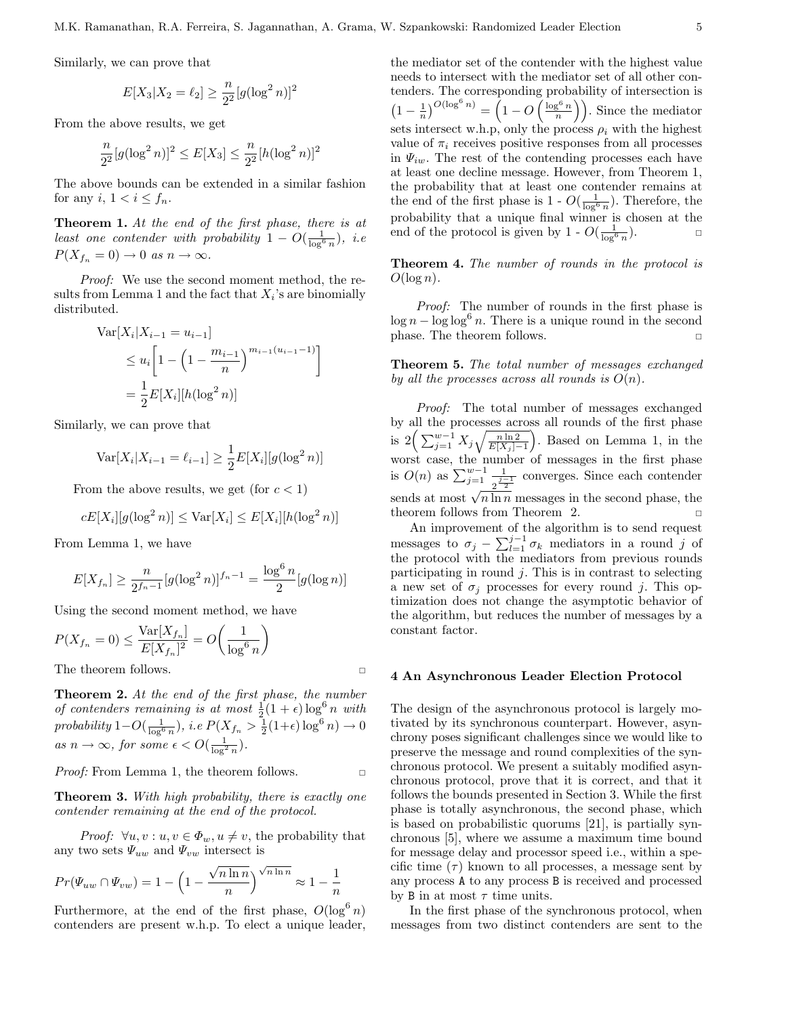Similarly, we can prove that

$$
E[X_3|X_2 = \ell_2] \ge \frac{n}{2^2} [g(\log^2 n)]^2
$$

From the above results, we get

$$
\frac{n}{2^2}[g(\log^2 n)]^2 \le E[X_3] \le \frac{n}{2^2}[h(\log^2 n)]^2
$$

The above bounds can be extended in a similar fashion for any  $i, 1 < i \leq f_n$ .

Theorem 1. At the end of the first phase, there is at least one contender with probability  $1 - O(\frac{1}{\log^6 n})$ , i.e  $P(X_{f_n} = 0) \to 0$  as  $n \to \infty$ .

Proof: We use the second moment method, the results from Lemma 1 and the fact that  $X_i$ 's are binomially distributed.

$$
\operatorname{Var}[X_i | X_{i-1} = u_{i-1}]
$$
  
\n
$$
\leq u_i \left[ 1 - \left( 1 - \frac{m_{i-1}}{n} \right)^{m_{i-1}(u_{i-1}-1)} \right]
$$
  
\n
$$
= \frac{1}{2} E[X_i] [h(\log^2 n)]
$$

Similarly, we can prove that

$$
Var[X_i|X_{i-1} = \ell_{i-1}] \ge \frac{1}{2}E[X_i][g(\log^2 n)]
$$

From the above results, we get (for  $c < 1$ )

$$
cE[X_i][g(\log^2 n)] \leq \text{Var}[X_i] \leq E[X_i][h(\log^2 n)]
$$

From Lemma 1, we have

$$
E[X_{f_n}] \ge \frac{n}{2^{f_n - 1}} [g(\log^2 n)]^{f_n - 1} = \frac{\log^6 n}{2} [g(\log n)]
$$

Using the second moment method, we have

$$
P(X_{f_n} = 0) \le \frac{\text{Var}[X_{f_n}]}{E[X_{f_n}]^2} = O\left(\frac{1}{\log^6 n}\right)
$$

The theorem follows.  $\Box$ 

Theorem 2. At the end of the first phase, the number of contenders remaining is at most  $\frac{1}{2}(1+\epsilon)\log^6 n$  with  $\text{probability } 1-O(\frac{1}{\log^6 n}), \text{ i.e } P(X_{f_n} > \frac{1}{2}(1+\epsilon)\log^6 n) \to 0$ as  $n \to \infty$ , for some  $\epsilon < O(\frac{1}{\log^2 n})$ .

*Proof:* From Lemma 1, the theorem follows. 
$$
\Box
$$

Theorem 3. With high probability, there is exactly one contender remaining at the end of the protocol.

*Proof:*  $\forall u, v : u, v \in \Phi_w, u \neq v$ , the probability that any two sets  $\Psi_{uw}$  and  $\Psi_{vw}$  intersect is

$$
Pr(\Psi_{uw} \cap \Psi_{vw}) = 1 - \left(1 - \frac{\sqrt{n \ln n}}{n}\right)^{\sqrt{n \ln n}} \approx 1 - \frac{1}{n}
$$

Furthermore, at the end of the first phase,  $O(\log^6 n)$ contenders are present w.h.p. To elect a unique leader, the mediator set of the contender with the highest value needs to intersect with the mediator set of all other contenders. The corresponding probability of intersection is  $\left(1-\frac{1}{n}\right)^{O(\log^6 n)} = \left(1-O\left(\frac{\log^6 n}{n}\right)\right)$ . Since the mediator sets intersect w.h.p, only the process  $\rho_i$  with the highest value of  $\pi_i$  receives positive responses from all processes in  $\Psi_{iw}$ . The rest of the contending processes each have at least one decline message. However, from Theorem 1, the probability that at least one contender remains at the end of the first phase is  $1 - O(\frac{1}{\log^6 n})$ . Therefore, the probability that a unique final winner is chosen at the end of the protocol is given by  $1 - O(\frac{1}{\log^6 n})$ .

Theorem 4. The number of rounds in the protocol is  $O(\log n)$ .

Proof: The number of rounds in the first phase is  $\log n - \log \log^6 n$ . There is a unique round in the second phase. The theorem follows.

Theorem 5. The total number of messages exchanged by all the processes across all rounds is  $O(n)$ .

Proof: The total number of messages exchanged by all the processes across all rounds of the first phase is  $2\left(\sum_{j=1}^{w-1} X_j\sqrt{\frac{n \ln 2}{E[X_j]}}\right)$  $E[X_j] - 1$  . Based on Lemma 1, in the worst case, the number of messages in the first phase is  $O(n)$  as  $\sum_{j=1}^{w-1} \frac{1}{2^{j-1}}$  $\frac{1}{2^{\frac{j-1}{2}}}$  converges. Since each contender sends at most  $\sqrt{n \ln n}$  messages in the second phase, the theorem follows from Theorem 2. An improvement of the algorithm is to send request messages to  $\sigma_j - \sum_{l=1}^{j-1} \sigma_k$  mediators in a round j of the protocol with the mediators from previous rounds

participating in round  $j$ . This is in contrast to selecting a new set of  $\sigma_i$  processes for every round j. This optimization does not change the asymptotic behavior of the algorithm, but reduces the number of messages by a constant factor.

# 4 An Asynchronous Leader Election Protocol

The design of the asynchronous protocol is largely motivated by its synchronous counterpart. However, asynchrony poses significant challenges since we would like to preserve the message and round complexities of the synchronous protocol. We present a suitably modified asynchronous protocol, prove that it is correct, and that it follows the bounds presented in Section 3. While the first phase is totally asynchronous, the second phase, which is based on probabilistic quorums [21], is partially synchronous [5], where we assume a maximum time bound for message delay and processor speed i.e., within a specific time  $(\tau)$  known to all processes, a message sent by any process A to any process B is received and processed by B in at most  $\tau$  time units.

In the first phase of the synchronous protocol, when messages from two distinct contenders are sent to the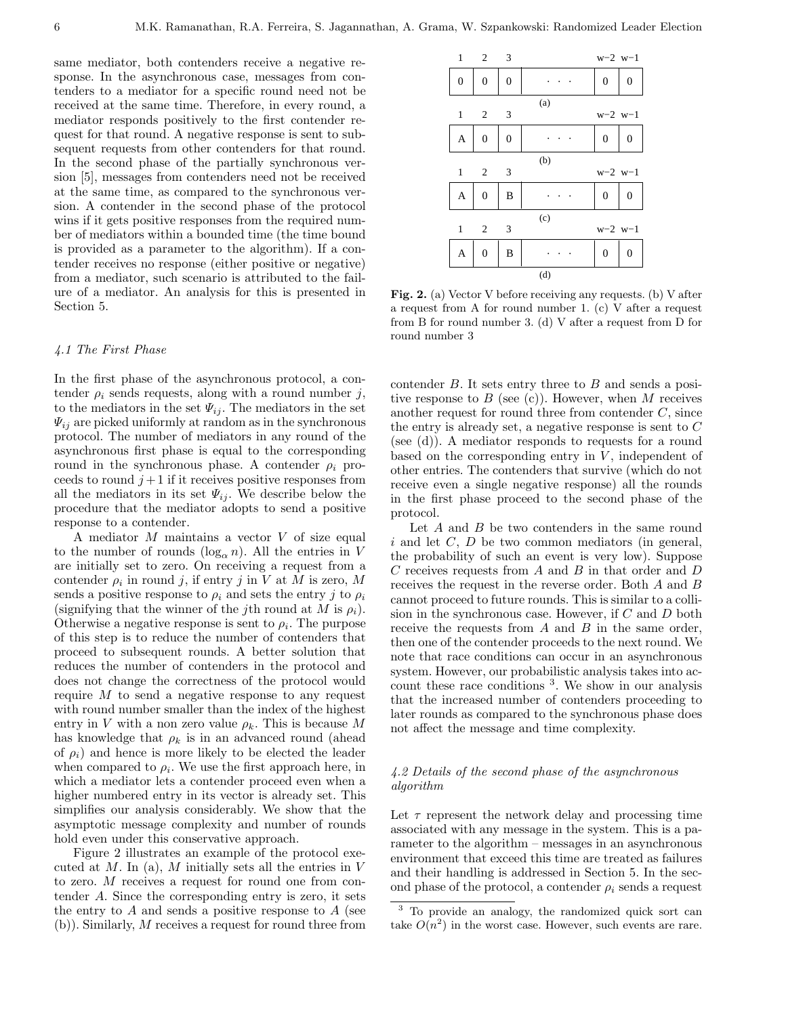same mediator, both contenders receive a negative response. In the asynchronous case, messages from contenders to a mediator for a specific round need not be received at the same time. Therefore, in every round, a mediator responds positively to the first contender request for that round. A negative response is sent to subsequent requests from other contenders for that round. In the second phase of the partially synchronous version [5], messages from contenders need not be received at the same time, as compared to the synchronous version. A contender in the second phase of the protocol wins if it gets positive responses from the required number of mediators within a bounded time (the time bound is provided as a parameter to the algorithm). If a contender receives no response (either positive or negative) from a mediator, such scenario is attributed to the failure of a mediator. An analysis for this is presented in Section 5.

#### 4.1 The First Phase

In the first phase of the asynchronous protocol, a contender  $\rho_i$  sends requests, along with a round number j, to the mediators in the set  $\Psi_{ij}$ . The mediators in the set  $\Psi_{ij}$  are picked uniformly at random as in the synchronous protocol. The number of mediators in any round of the asynchronous first phase is equal to the corresponding round in the synchronous phase. A contender  $\rho_i$  proceeds to round  $j+1$  if it receives positive responses from all the mediators in its set  $\Psi_{ij}$ . We describe below the procedure that the mediator adopts to send a positive response to a contender.

A mediator M maintains a vector V of size equal to the number of rounds  $(\log_{\alpha} n)$ . All the entries in V are initially set to zero. On receiving a request from a contender  $\rho_i$  in round j, if entry j in V at M is zero, M sends a positive response to  $\rho_i$  and sets the entry j to  $\rho_i$ (signifying that the winner of the *j*th round at M is  $\rho_i$ ). Otherwise a negative response is sent to  $\rho_i$ . The purpose of this step is to reduce the number of contenders that proceed to subsequent rounds. A better solution that reduces the number of contenders in the protocol and does not change the correctness of the protocol would require M to send a negative response to any request with round number smaller than the index of the highest entry in V with a non zero value  $\rho_k$ . This is because M has knowledge that  $\rho_k$  is in an advanced round (ahead of  $\rho_i$ ) and hence is more likely to be elected the leader when compared to  $\rho_i$ . We use the first approach here, in which a mediator lets a contender proceed even when a higher numbered entry in its vector is already set. This simplifies our analysis considerably. We show that the asymptotic message complexity and number of rounds hold even under this conservative approach.

Figure 2 illustrates an example of the protocol executed at  $M$ . In (a),  $M$  initially sets all the entries in  $V$ to zero. M receives a request for round one from contender A. Since the corresponding entry is zero, it sets the entry to  $A$  and sends a positive response to  $A$  (see (b)). Similarly, M receives a request for round three from



Fig. 2. (a) Vector V before receiving any requests. (b) V after a request from A for round number 1. (c) V after a request from B for round number 3. (d) V after a request from D for round number 3

contender  $B$ . It sets entry three to  $B$  and sends a positive response to B (see (c)). However, when M receives another request for round three from contender C, since the entry is already set, a negative response is sent to C (see (d)). A mediator responds to requests for a round based on the corresponding entry in  $V$ , independent of other entries. The contenders that survive (which do not receive even a single negative response) all the rounds in the first phase proceed to the second phase of the protocol.

Let A and B be two contenders in the same round  $i$  and let  $C, D$  be two common mediators (in general, the probability of such an event is very low). Suppose C receives requests from A and B in that order and D receives the request in the reverse order. Both A and B cannot proceed to future rounds. This is similar to a collision in the synchronous case. However, if  $C$  and  $D$  both receive the requests from  $A$  and  $B$  in the same order, then one of the contender proceeds to the next round. We note that race conditions can occur in an asynchronous system. However, our probabilistic analysis takes into account these race conditions <sup>3</sup> . We show in our analysis that the increased number of contenders proceeding to later rounds as compared to the synchronous phase does not affect the message and time complexity.

# 4.2 Details of the second phase of the asynchronous algorithm

Let  $\tau$  represent the network delay and processing time associated with any message in the system. This is a parameter to the algorithm – messages in an asynchronous environment that exceed this time are treated as failures and their handling is addressed in Section 5. In the second phase of the protocol, a contender  $\rho_i$  sends a request

<sup>3</sup> To provide an analogy, the randomized quick sort can take  $O(n^2)$  in the worst case. However, such events are rare.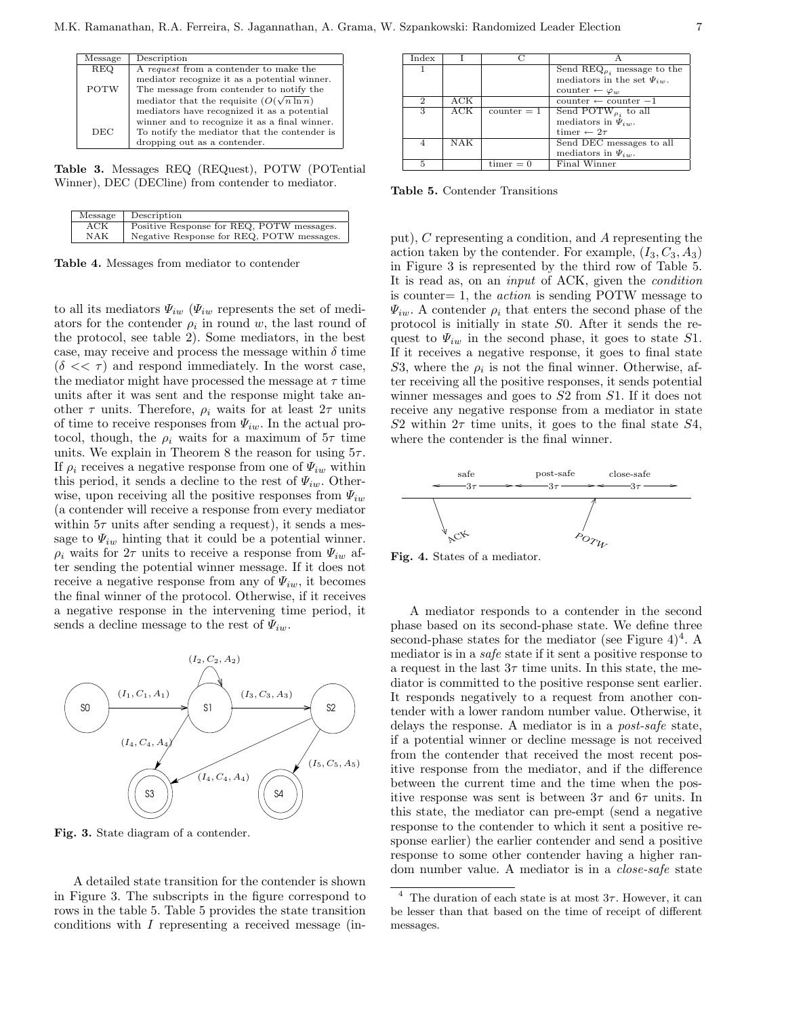| Message     | Description                                       |
|-------------|---------------------------------------------------|
| <b>REQ</b>  | A request from a contender to make the            |
|             | mediator recognize it as a potential winner.      |
| <b>POTW</b> | The message from contender to notify the          |
|             | mediator that the requisite $(O(\sqrt{n \ln n}))$ |
|             | mediators have recognized it as a potential       |
|             | winner and to recognize it as a final winner.     |
| DEC         | To notify the mediator that the contender is      |
|             | dropping out as a contender.                      |

Table 3. Messages REQ (REQuest), POTW (POTential Winner), DEC (DECline) from contender to mediator.

| Message | Description                               |
|---------|-------------------------------------------|
| ACK     | Positive Response for REQ, POTW messages. |
| NAK     | Negative Response for REQ, POTW messages. |

Table 4. Messages from mediator to contender

to all its mediators  $\Psi_{iw}$  ( $\Psi_{iw}$  represents the set of mediators for the contender  $\rho_i$  in round w, the last round of the protocol, see table 2). Some mediators, in the best case, may receive and process the message within  $\delta$  time  $(\delta \ll \tau)$  and respond immediately. In the worst case, the mediator might have processed the message at  $\tau$  time units after it was sent and the response might take another  $\tau$  units. Therefore,  $\rho_i$  waits for at least  $2\tau$  units of time to receive responses from  $\Psi_{iw}$ . In the actual protocol, though, the  $\rho_i$  waits for a maximum of  $5\tau$  time units. We explain in Theorem 8 the reason for using  $5\tau$ . If  $\rho_i$  receives a negative response from one of  $\Psi_{iw}$  within this period, it sends a decline to the rest of  $\Psi_{iw}$ . Otherwise, upon receiving all the positive responses from  $\Psi_{iw}$ (a contender will receive a response from every mediator within  $5\tau$  units after sending a request), it sends a message to  $\Psi_{iw}$  hinting that it could be a potential winner.  $\rho_i$  waits for  $2\tau$  units to receive a response from  $\Psi_{iw}$  after sending the potential winner message. If it does not receive a negative response from any of  $\Psi_{iw}$ , it becomes the final winner of the protocol. Otherwise, if it receives a negative response in the intervening time period, it sends a decline message to the rest of  $\Psi_{iw}$ .



Fig. 3. State diagram of a contender.

A detailed state transition for the contender is shown in Figure 3. The subscripts in the figure correspond to rows in the table 5. Table 5 provides the state transition conditions with I representing a received message (in-

| Index       |     |                    |                                                 |
|-------------|-----|--------------------|-------------------------------------------------|
|             |     |                    | Send $\text{REQ}_{\rho_i}$ message to the       |
|             |     |                    | mediators in the set $\Psi_{iw}$ .              |
|             |     |                    | counter $\leftarrow \varphi_w$                  |
| $2^{\circ}$ | ACK |                    | $counter \leftarrow counter -1$                 |
| 3           | ACK | $counter = 1$      | Send POTW <sub><math>\rho_i</math></sub> to all |
|             |     |                    | mediators in $\Psi_{iw}$ .                      |
|             |     |                    | timer $\leftarrow 2\tau$                        |
|             | NAK |                    | Send DEC messages to all                        |
|             |     |                    | mediators in $\Psi_{iw}$ .                      |
| 5.          |     | $\text{timer} = 0$ | Final Winner                                    |

Table 5. Contender Transitions

put), C representing a condition, and A representing the action taken by the contender. For example,  $(I_3, C_3, A_3)$ in Figure 3 is represented by the third row of Table 5. It is read as, on an input of ACK, given the condition is counter= 1, the action is sending POTW message to  $\Psi_{iw}$ . A contender  $\rho_i$  that enters the second phase of the protocol is initially in state S0. After it sends the request to  $\Psi_{iw}$  in the second phase, it goes to state S1. If it receives a negative response, it goes to final state S3, where the  $\rho_i$  is not the final winner. Otherwise, after receiving all the positive responses, it sends potential winner messages and goes to S2 from S1. If it does not receive any negative response from a mediator in state S2 within  $2\tau$  time units, it goes to the final state S4, where the contender is the final winner.



Fig. 4. States of a mediator.

A mediator responds to a contender in the second phase based on its second-phase state. We define three second-phase states for the mediator (see Figure  $4)^4$ . A mediator is in a safe state if it sent a positive response to a request in the last  $3\tau$  time units. In this state, the mediator is committed to the positive response sent earlier. It responds negatively to a request from another contender with a lower random number value. Otherwise, it delays the response. A mediator is in a post-safe state, if a potential winner or decline message is not received from the contender that received the most recent positive response from the mediator, and if the difference between the current time and the time when the positive response was sent is between  $3\tau$  and  $6\tau$  units. In this state, the mediator can pre-empt (send a negative response to the contender to which it sent a positive response earlier) the earlier contender and send a positive response to some other contender having a higher random number value. A mediator is in a close-safe state

<sup>&</sup>lt;sup>4</sup> The duration of each state is at most  $3\tau$ . However, it can be lesser than that based on the time of receipt of different messages.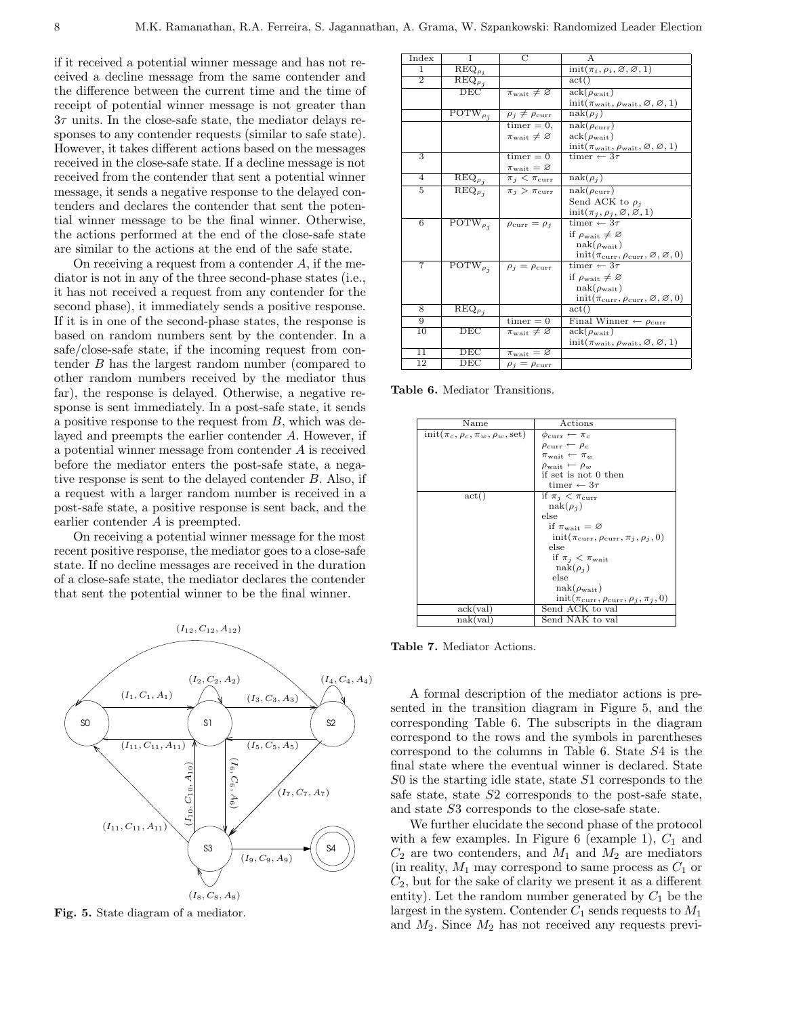if it received a potential winner message and has not received a decline message from the same contender and the difference between the current time and the time of receipt of potential winner message is not greater than  $3\tau$  units. In the close-safe state, the mediator delays responses to any contender requests (similar to safe state). However, it takes different actions based on the messages received in the close-safe state. If a decline message is not received from the contender that sent a potential winner message, it sends a negative response to the delayed contenders and declares the contender that sent the potential winner message to be the final winner. Otherwise, the actions performed at the end of the close-safe state are similar to the actions at the end of the safe state.

On receiving a request from a contender A, if the mediator is not in any of the three second-phase states (i.e., it has not received a request from any contender for the second phase), it immediately sends a positive response. If it is in one of the second-phase states, the response is based on random numbers sent by the contender. In a safe/close-safe state, if the incoming request from contender B has the largest random number (compared to other random numbers received by the mediator thus far), the response is delayed. Otherwise, a negative response is sent immediately. In a post-safe state, it sends a positive response to the request from B, which was delayed and preempts the earlier contender A. However, if a potential winner message from contender A is received before the mediator enters the post-safe state, a negative response is sent to the delayed contender B. Also, if a request with a larger random number is received in a post-safe state, a positive response is sent back, and the earlier contender A is preempted.

On receiving a potential winner message for the most recent positive response, the mediator goes to a close-safe state. If no decline messages are received in the duration of a close-safe state, the mediator declares the contender that sent the potential winner to be the final winner.



Fig. 5. State diagram of a mediator.

| Index          |                                     | C                                               | A                                                                                 |
|----------------|-------------------------------------|-------------------------------------------------|-----------------------------------------------------------------------------------|
| 1              | $\overline{\text{REQ}}_{\rho_i}$    |                                                 | $\overline{\text{init}(\pi_i, \rho_i, \varnothing, \varnothing, 1)}$              |
| $\overline{2}$ | $\overline{\text{REQ}}_{\rho_i}$    |                                                 | act()                                                                             |
|                | $\overline{\rm DEC}$                | $\pi_{\text{wait}} \neq \overline{\varnothing}$ | $ack(\rho_{wait})$                                                                |
|                |                                     |                                                 | $init(\pi_{wait}, \rho_{wait}, \varnothing, \varnothing, 1)$                      |
|                | $\overline{\mathrm{POTW}_{\rho_i}}$ | $\rho_i \neq \rho_{\text{curr}}$                | $\mathrm{nak}(\rho_i)$                                                            |
|                |                                     | $\overline{\text{timer}} = 0,$                  | $\overline{\text{nak}}(\rho_{\text{curr}})$                                       |
|                |                                     | $\pi_{\text{wait}} \neq \varnothing$            | $ack(\rho_{wait})$                                                                |
|                |                                     |                                                 | $init(\pi_{wait}, \rho_{wait}, \varnothing, \varnothing, 1)$                      |
| 3              |                                     | $\text{timer} = 0$                              | timer $\leftarrow$ 3 $\tau$                                                       |
|                |                                     | $\pi_{\mathrm{wait}} = \varnothing$             |                                                                                   |
| $\overline{4}$ | $\overline{\text{REQ}}_{\rho_j}$    | $\pi_i < \pi_{\text{curr}}$                     | $\mathrm{nak}(\rho_i)$                                                            |
| 5              | $\overline{\text{REQ}}_{\rho_j}$    | $\pi_i > \pi_{\text{curr}}$                     | $\text{nak}(\rho_{\text{curr}})$                                                  |
|                |                                     |                                                 | Send ACK to $\rho_i$                                                              |
|                |                                     |                                                 | $\text{init}(\pi_j, \rho_j, \varnothing, \varnothing, 1)$                         |
| $\overline{6}$ | $\overline{\mathrm{POTW}_{\rho_i}}$ | $\rho_{\text{curr}} = \rho_i$                   | timer $\leftarrow$ 3 $\tau$                                                       |
|                |                                     |                                                 | if $\rho_{\text{wait}} \neq \varnothing$                                          |
|                |                                     |                                                 | $nak(\rho_{wait})$                                                                |
|                |                                     |                                                 | $\text{init}(\pi_{\text{curr}}, \rho_{\text{curr}}, \varnothing, \varnothing, 0)$ |
| 7              | $\overline{\mathrm{POTW}_{\rho_i}}$ | $\rho_i = \rho_{\text{curr}}$                   | timer $\leftarrow$ 3 $\tau$                                                       |
|                |                                     |                                                 | if $\rho_{\text{wait}} \neq \emptyset$                                            |
|                |                                     |                                                 | $nak(\rho_{wait})$                                                                |
|                |                                     |                                                 | $init(\pi_{curr}, \rho_{curr}, \varnothing, \varnothing, 0)$                      |
| 8              | $\overline{\text{REQ}}_{\rho_j}$    |                                                 | act()                                                                             |
| 9              |                                     | $\text{timer} = 0$                              | Final Winner $\leftarrow \rho_{\text{curr}}$                                      |
| 10             | $\overline{\rm DEC}$                | $\pi_{\text{wait}} \neq \varnothing$            | $ack(\rho_{wait})$                                                                |
|                |                                     |                                                 | $init(\pi_{wait}, \rho_{wait}, \varnothing, \varnothing, 1)$                      |
| 11             | DEC                                 | $\pi_{\mathrm{wait}} = \varnothing$             |                                                                                   |
| 12             | $\overline{\rm DEC}$                | $\rho_j = \rho_{\rm curr}$                      |                                                                                   |

Table 6. Mediator Transitions.

| $\rm Name$                                       | Actions                                                                |
|--------------------------------------------------|------------------------------------------------------------------------|
| $init(\pi_c, \rho_c, \pi_w, \rho_w, \text{set})$ | $\phi_{\text{curr}} \leftarrow \pi_c$                                  |
|                                                  | $\rho_{\text{curr}} \leftarrow \rho_c$                                 |
|                                                  | $\pi_{\text{wait}} \leftarrow \pi_w$                                   |
|                                                  | $\rho_{\text{wait}} \leftarrow \rho_w$                                 |
|                                                  | if set is not 0 then                                                   |
|                                                  | timer $\leftarrow$ 3 $\tau$                                            |
| act()                                            | if $\pi_j < \pi_{\text{curr}}$                                         |
|                                                  | $nak(\rho_i)$                                                          |
|                                                  | else                                                                   |
|                                                  | if $\pi_{\text{wait}} = \varnothing$                                   |
|                                                  | $\text{init}(\pi_{\text{curr}}, \rho_{\text{curr}}, \pi_j, \rho_j, 0)$ |
|                                                  | else                                                                   |
|                                                  | if $\pi_i < \pi_{\text{wait}}$                                         |
|                                                  | $\text{nak}(\rho_i)$                                                   |
|                                                  | else                                                                   |
|                                                  | $nak(\rho_{wait})$                                                     |
|                                                  | $\text{init}(\pi_{\text{curr}}, \rho_{\text{curr}}, \rho_j, \pi_j, 0)$ |
| ack(val)                                         | Send ACK to val                                                        |
| nak(val)                                         | Send NAK to val                                                        |

Table 7. Mediator Actions.

A formal description of the mediator actions is presented in the transition diagram in Figure 5, and the corresponding Table 6. The subscripts in the diagram correspond to the rows and the symbols in parentheses correspond to the columns in Table 6. State S4 is the final state where the eventual winner is declared. State S0 is the starting idle state, state S1 corresponds to the safe state, state S2 corresponds to the post-safe state, and state S3 corresponds to the close-safe state.

We further elucidate the second phase of the protocol with a few examples. In Figure 6 (example 1),  $C_1$  and  $C_2$  are two contenders, and  $M_1$  and  $M_2$  are mediators (in reality,  $M_1$  may correspond to same process as  $C_1$  or  $C_2$ , but for the sake of clarity we present it as a different entity). Let the random number generated by  $C_1$  be the largest in the system. Contender  $C_1$  sends requests to  $M_1$ and  $M_2$ . Since  $M_2$  has not received any requests previ-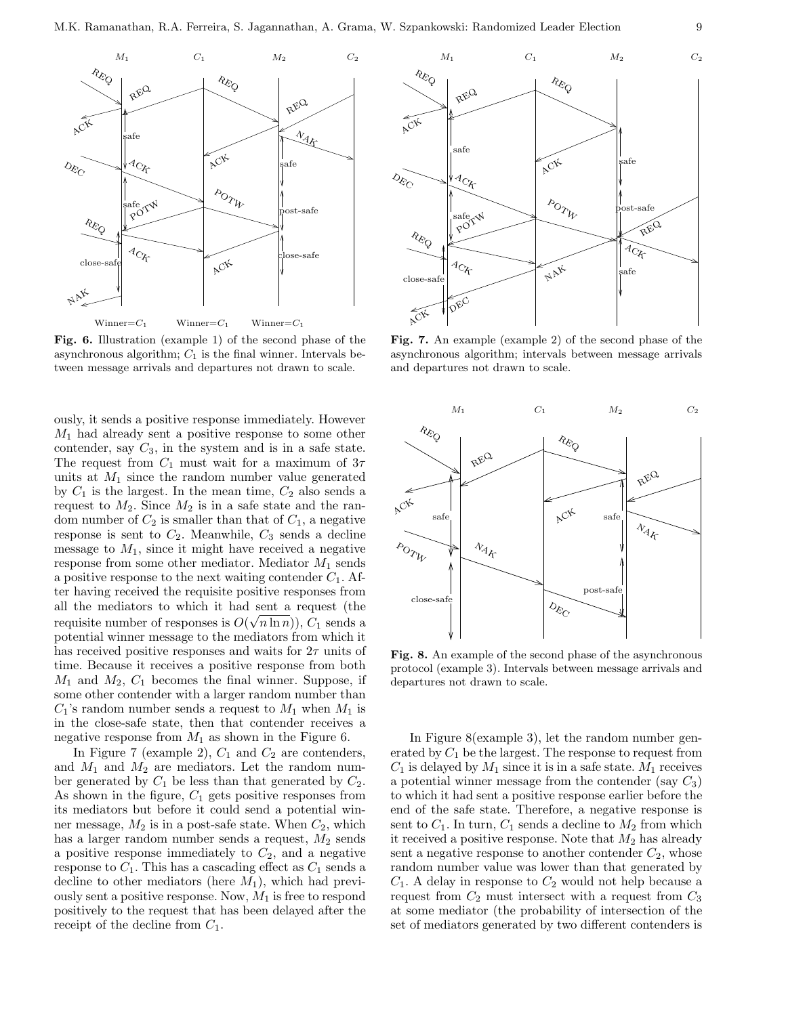

Fig. 6. Illustration (example 1) of the second phase of the asynchronous algorithm;  $C_1$  is the final winner. Intervals between message arrivals and departures not drawn to scale.

ously, it sends a positive response immediately. However  $M_1$  had already sent a positive response to some other contender, say  $C_3$ , in the system and is in a safe state. The request from  $C_1$  must wait for a maximum of  $3\tau$ units at  $M_1$  since the random number value generated by  $C_1$  is the largest. In the mean time,  $C_2$  also sends a request to  $M_2$ . Since  $M_2$  is in a safe state and the random number of  $C_2$  is smaller than that of  $C_1$ , a negative response is sent to  $C_2$ . Meanwhile,  $C_3$  sends a decline message to  $M_1$ , since it might have received a negative response from some other mediator. Mediator  $M_1$  sends a positive response to the next waiting contender  $C_1$ . After having received the requisite positive responses from all the mediators to which it had sent a request (the requisite number of responses is  $O(\sqrt{n \ln n})$ ,  $C_1$  sends a potential winner message to the mediators from which it has received positive responses and waits for  $2\tau$  units of time. Because it receives a positive response from both  $M_1$  and  $M_2$ ,  $C_1$  becomes the final winner. Suppose, if some other contender with a larger random number than  $C_1$ 's random number sends a request to  $M_1$  when  $M_1$  is in the close-safe state, then that contender receives a negative response from  $M_1$  as shown in the Figure 6.

In Figure 7 (example 2),  $C_1$  and  $C_2$  are contenders, and  $M_1$  and  $M_2$  are mediators. Let the random number generated by  $C_1$  be less than that generated by  $C_2$ . As shown in the figure,  $C_1$  gets positive responses from its mediators but before it could send a potential winner message,  $M_2$  is in a post-safe state. When  $C_2$ , which has a larger random number sends a request,  $M_2$  sends a positive response immediately to  $C_2$ , and a negative response to  $C_1$ . This has a cascading effect as  $C_1$  sends a decline to other mediators (here  $M_1$ ), which had previously sent a positive response. Now,  $M_1$  is free to respond positively to the request that has been delayed after the receipt of the decline from  $C_1$ .



Fig. 7. An example (example 2) of the second phase of the asynchronous algorithm; intervals between message arrivals and departures not drawn to scale.



Fig. 8. An example of the second phase of the asynchronous protocol (example 3). Intervals between message arrivals and departures not drawn to scale.

In Figure 8(example 3), let the random number generated by  $C_1$  be the largest. The response to request from  $C_1$  is delayed by  $M_1$  since it is in a safe state.  $M_1$  receives a potential winner message from the contender (say  $C_3$ ) to which it had sent a positive response earlier before the end of the safe state. Therefore, a negative response is sent to  $C_1$ . In turn,  $C_1$  sends a decline to  $M_2$  from which it received a positive response. Note that  $M_2$  has already sent a negative response to another contender  $C_2$ , whose random number value was lower than that generated by  $C_1$ . A delay in response to  $C_2$  would not help because a request from  $C_2$  must intersect with a request from  $C_3$ at some mediator (the probability of intersection of the set of mediators generated by two different contenders is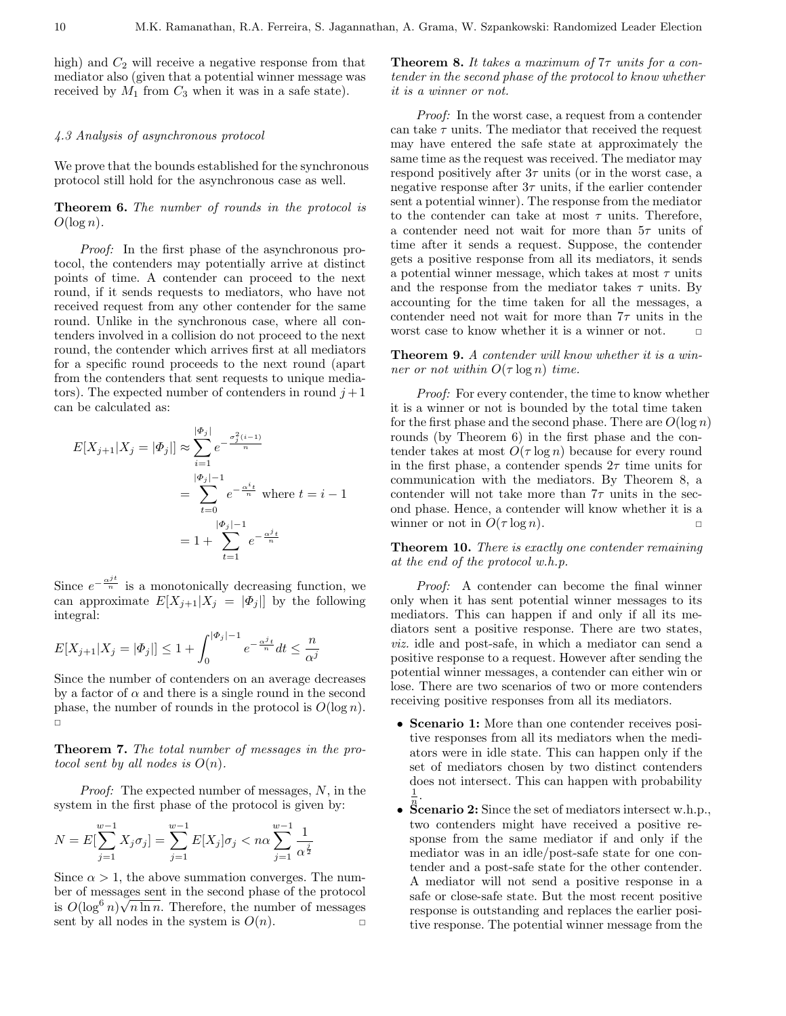high) and  $C_2$  will receive a negative response from that mediator also (given that a potential winner message was received by  $M_1$  from  $C_3$  when it was in a safe state).

## 4.3 Analysis of asynchronous protocol

We prove that the bounds established for the synchronous protocol still hold for the asynchronous case as well.

Theorem 6. The number of rounds in the protocol is  $O(\log n)$ .

Proof: In the first phase of the asynchronous protocol, the contenders may potentially arrive at distinct points of time. A contender can proceed to the next round, if it sends requests to mediators, who have not received request from any other contender for the same round. Unlike in the synchronous case, where all contenders involved in a collision do not proceed to the next round, the contender which arrives first at all mediators for a specific round proceeds to the next round (apart from the contenders that sent requests to unique mediators). The expected number of contenders in round  $j+1$ can be calculated as:

$$
E[X_{j+1}|X_j = |\Phi_j|] \approx \sum_{i=1}^{|\Phi_j|} e^{-\frac{\sigma_j^2(i-1)}{n}}
$$
  
= 
$$
\sum_{t=0}^{|\Phi_j| - 1} e^{-\frac{\alpha^i t}{n}}
$$
 where  $t = i - 1$   
= 
$$
1 + \sum_{t=1}^{|\Phi_j| - 1} e^{-\frac{\alpha^j t}{n}}
$$

Since  $e^{-\frac{\alpha^{jt}}{n}}$  is a monotonically decreasing function, we can approximate  $E[X_{i+1}|X_i = |\Phi_i|]$  by the following integral:

$$
E[X_{j+1}|X_j = |\Phi_j|] \le 1 + \int_0^{|\Phi_j| - 1} e^{-\frac{\alpha^j t}{n}} dt \le \frac{n}{\alpha^j}
$$

Since the number of contenders on an average decreases by a factor of  $\alpha$  and there is a single round in the second phase, the number of rounds in the protocol is  $O(\log n)$ .  $\Box$ 

Theorem 7. The total number of messages in the protocol sent by all nodes is  $O(n)$ .

Proof: The expected number of messages, N, in the system in the first phase of the protocol is given by:

$$
N = E[\sum_{j=1}^{w-1} X_j \sigma_j] = \sum_{j=1}^{w-1} E[X_j] \sigma_j < n\alpha \sum_{j=1}^{w-1} \frac{1}{\alpha^{\frac{j}{2}}}
$$

Since  $\alpha > 1$ , the above summation converges. The number of messages sent in the second phase of the protocol is  $O(\log^6 n)\sqrt{n \ln n}$ . Therefore, the number of messages sent by all nodes in the system is  $O(n)$ . **Theorem 8.** It takes a maximum of  $7\tau$  units for a contender in the second phase of the protocol to know whether it is a winner or not.

Proof: In the worst case, a request from a contender can take  $\tau$  units. The mediator that received the request may have entered the safe state at approximately the same time as the request was received. The mediator may respond positively after  $3\tau$  units (or in the worst case, a negative response after  $3\tau$  units, if the earlier contender sent a potential winner). The response from the mediator to the contender can take at most  $\tau$  units. Therefore, a contender need not wait for more than  $5\tau$  units of time after it sends a request. Suppose, the contender gets a positive response from all its mediators, it sends a potential winner message, which takes at most  $\tau$  units and the response from the mediator takes  $\tau$  units. By accounting for the time taken for all the messages, a contender need not wait for more than  $7\tau$  units in the worst case to know whether it is a winner or not.

Theorem 9. A contender will know whether it is a winner or not within  $O(\tau \log n)$  time.

Proof: For every contender, the time to know whether it is a winner or not is bounded by the total time taken for the first phase and the second phase. There are  $O(\log n)$ rounds (by Theorem 6) in the first phase and the contender takes at most  $O(\tau \log n)$  because for every round in the first phase, a contender spends  $2\tau$  time units for communication with the mediators. By Theorem 8, a contender will not take more than  $7\tau$  units in the second phase. Hence, a contender will know whether it is a winner or not in  $O(\tau \log n)$ .

**Theorem 10.** There is exactly one contender remaining at the end of the protocol w.h.p.

Proof: A contender can become the final winner only when it has sent potential winner messages to its mediators. This can happen if and only if all its mediators sent a positive response. There are two states, viz. idle and post-safe, in which a mediator can send a positive response to a request. However after sending the potential winner messages, a contender can either win or lose. There are two scenarios of two or more contenders receiving positive responses from all its mediators.

- **Scenario 1:** More than one contender receives positive responses from all its mediators when the mediators were in idle state. This can happen only if the set of mediators chosen by two distinct contenders does not intersect. This can happen with probability  $\frac{1}{n}$ .
- Scenario 2: Since the set of mediators intersect w.h.p., two contenders might have received a positive response from the same mediator if and only if the mediator was in an idle/post-safe state for one contender and a post-safe state for the other contender. A mediator will not send a positive response in a safe or close-safe state. But the most recent positive response is outstanding and replaces the earlier positive response. The potential winner message from the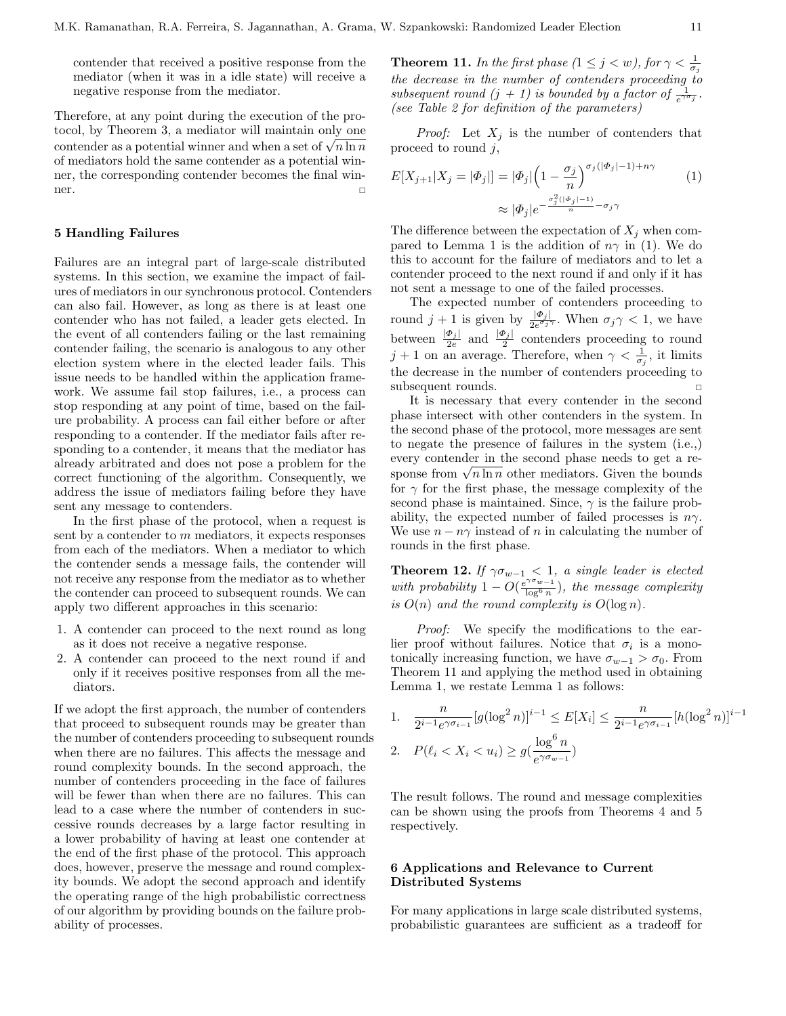contender that received a positive response from the mediator (when it was in a idle state) will receive a negative response from the mediator.

Therefore, at any point during the execution of the protocol, by Theorem 3, a mediator will maintain only one contender as a potential winner and when a set of  $\sqrt{n \ln n}$ of mediators hold the same contender as a potential winner, the corresponding contender becomes the final winner.

# 5 Handling Failures

Failures are an integral part of large-scale distributed systems. In this section, we examine the impact of failures of mediators in our synchronous protocol. Contenders can also fail. However, as long as there is at least one contender who has not failed, a leader gets elected. In the event of all contenders failing or the last remaining contender failing, the scenario is analogous to any other election system where in the elected leader fails. This issue needs to be handled within the application framework. We assume fail stop failures, i.e., a process can stop responding at any point of time, based on the failure probability. A process can fail either before or after responding to a contender. If the mediator fails after responding to a contender, it means that the mediator has already arbitrated and does not pose a problem for the correct functioning of the algorithm. Consequently, we address the issue of mediators failing before they have sent any message to contenders.

In the first phase of the protocol, when a request is sent by a contender to m mediators, it expects responses from each of the mediators. When a mediator to which the contender sends a message fails, the contender will not receive any response from the mediator as to whether the contender can proceed to subsequent rounds. We can apply two different approaches in this scenario:

- 1. A contender can proceed to the next round as long as it does not receive a negative response.
- 2. A contender can proceed to the next round if and only if it receives positive responses from all the mediators.

If we adopt the first approach, the number of contenders that proceed to subsequent rounds may be greater than the number of contenders proceeding to subsequent rounds when there are no failures. This affects the message and round complexity bounds. In the second approach, the number of contenders proceeding in the face of failures will be fewer than when there are no failures. This can lead to a case where the number of contenders in successive rounds decreases by a large factor resulting in a lower probability of having at least one contender at the end of the first phase of the protocol. This approach does, however, preserve the message and round complexity bounds. We adopt the second approach and identify the operating range of the high probabilistic correctness of our algorithm by providing bounds on the failure probability of processes.

**Theorem 11.** In the first phase  $(1 \leq j \leq w)$ , for  $\gamma < \frac{1}{\sigma_j}$ the decrease in the number of contenders proceeding to subsequent round  $(j + 1)$  is bounded by a factor of  $\frac{1}{e^{\gamma \sigma_j}}$ . (see Table 2 for definition of the parameters)

*Proof:* Let  $X_j$  is the number of contenders that proceed to round  $j$ ,

$$
E[X_{j+1}|X_j = |\Phi_j|] = |\Phi_j| \left(1 - \frac{\sigma_j}{n}\right)^{\sigma_j(|\Phi_j| - 1) + n\gamma} \tag{1}
$$

$$
\approx |\Phi_j| e^{-\frac{\sigma_j^2(|\Phi_j| - 1)}{n} - \sigma_j\gamma}
$$

The difference between the expectation of  $X_j$  when compared to Lemma 1 is the addition of  $n\gamma$  in (1). We do this to account for the failure of mediators and to let a contender proceed to the next round if and only if it has not sent a message to one of the failed processes.

The expected number of contenders proceeding to round  $j + 1$  is given by  $\frac{|\Phi_j|}{2e^{\sigma_j \gamma}}$ . When  $\sigma_j \gamma < 1$ , we have between  $\frac{|\Phi_j|}{2e}$  and  $\frac{|\Phi_j|}{2}$  contenders proceeding to round  $j + 1$  on an average. Therefore, when  $\gamma < \frac{1}{\sigma_j}$ , it limits the decrease in the number of contenders proceeding to subsequent rounds.

It is necessary that every contender in the second phase intersect with other contenders in the system. In the second phase of the protocol, more messages are sent to negate the presence of failures in the system (i.e.,) every contender in the second phase needs to get a response from  $\sqrt{n \ln n}$  other mediators. Given the bounds for  $\gamma$  for the first phase, the message complexity of the second phase is maintained. Since,  $\gamma$  is the failure probability, the expected number of failed processes is  $n\gamma$ . We use  $n - n\gamma$  instead of n in calculating the number of rounds in the first phase.

**Theorem 12.** If  $\gamma \sigma_{w-1} \leq 1$ , a single leader is elected with probability  $1 - O(\frac{e^{\gamma \sigma_{w-1}}}{\log^6 n})$  $\frac{\log^{6} n}{\log^{6} n}$ , the message complexity is  $O(n)$  and the round complexity is  $O(\log n)$ .

Proof: We specify the modifications to the earlier proof without failures. Notice that  $\sigma_i$  is a monotonically increasing function, we have  $\sigma_{w-1} > \sigma_0$ . From Theorem 11 and applying the method used in obtaining Lemma 1, we restate Lemma 1 as follows:

1. 
$$
\frac{n}{2^{i-1}e^{\gamma \sigma_{i-1}}}[g(\log^2 n)]^{i-1} \le E[X_i] \le \frac{n}{2^{i-1}e^{\gamma \sigma_{i-1}}}[h(\log^2 n)]^{i-1}
$$
  
2.  $P(\ell_i < X_i < u_i) \ge g(\frac{\log^6 n}{e^{\gamma \sigma_{w-1}}})$ 

The result follows. The round and message complexities can be shown using the proofs from Theorems 4 and 5 respectively.

# 6 Applications and Relevance to Current Distributed Systems

For many applications in large scale distributed systems, probabilistic guarantees are sufficient as a tradeoff for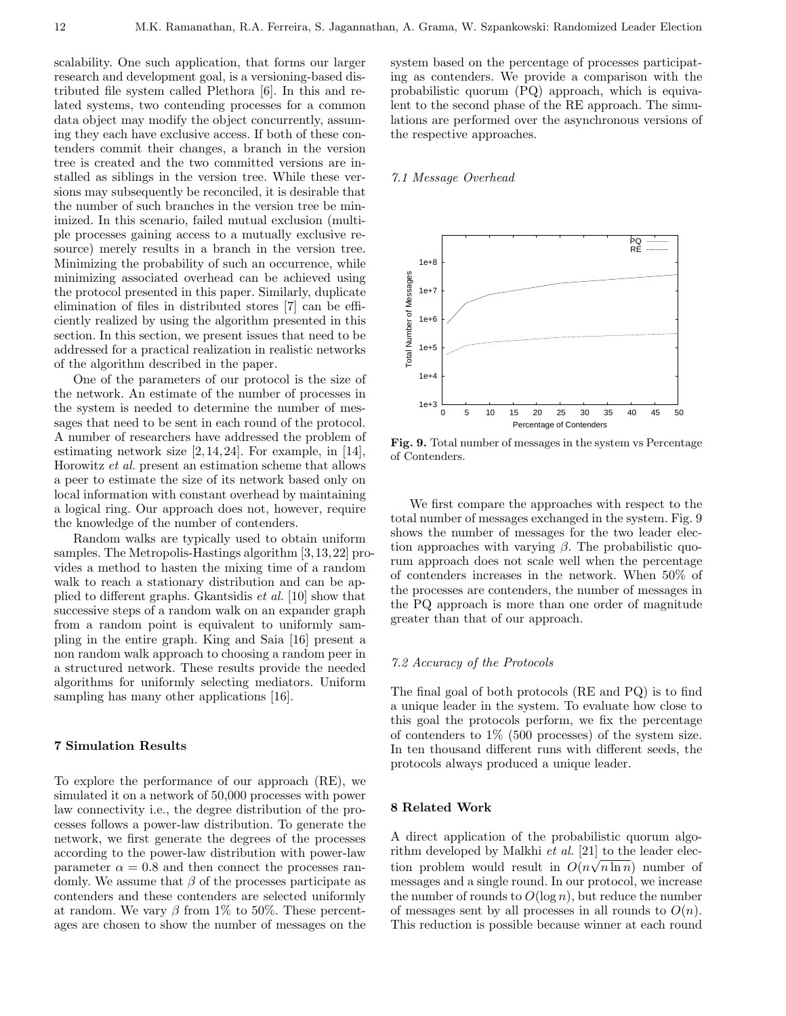scalability. One such application, that forms our larger research and development goal, is a versioning-based distributed file system called Plethora [6]. In this and related systems, two contending processes for a common data object may modify the object concurrently, assuming they each have exclusive access. If both of these contenders commit their changes, a branch in the version tree is created and the two committed versions are installed as siblings in the version tree. While these versions may subsequently be reconciled, it is desirable that the number of such branches in the version tree be minimized. In this scenario, failed mutual exclusion (multiple processes gaining access to a mutually exclusive resource) merely results in a branch in the version tree. Minimizing the probability of such an occurrence, while minimizing associated overhead can be achieved using the protocol presented in this paper. Similarly, duplicate elimination of files in distributed stores [7] can be efficiently realized by using the algorithm presented in this section. In this section, we present issues that need to be addressed for a practical realization in realistic networks of the algorithm described in the paper.

One of the parameters of our protocol is the size of the network. An estimate of the number of processes in the system is needed to determine the number of messages that need to be sent in each round of the protocol. A number of researchers have addressed the problem of estimating network size  $[2,14,24]$ . For example, in  $[14]$ , Horowitz et al. present an estimation scheme that allows a peer to estimate the size of its network based only on local information with constant overhead by maintaining a logical ring. Our approach does not, however, require the knowledge of the number of contenders.

Random walks are typically used to obtain uniform samples. The Metropolis-Hastings algorithm [3,13,22] provides a method to hasten the mixing time of a random walk to reach a stationary distribution and can be applied to different graphs. Gkantsidis et al. [10] show that successive steps of a random walk on an expander graph from a random point is equivalent to uniformly sampling in the entire graph. King and Saia [16] present a non random walk approach to choosing a random peer in a structured network. These results provide the needed algorithms for uniformly selecting mediators. Uniform sampling has many other applications [16].

# 7 Simulation Results

To explore the performance of our approach (RE), we simulated it on a network of 50,000 processes with power law connectivity i.e., the degree distribution of the processes follows a power-law distribution. To generate the network, we first generate the degrees of the processes according to the power-law distribution with power-law parameter  $\alpha = 0.8$  and then connect the processes randomly. We assume that  $\beta$  of the processes participate as contenders and these contenders are selected uniformly at random. We vary  $\beta$  from 1% to 50%. These percentages are chosen to show the number of messages on the system based on the percentage of processes participating as contenders. We provide a comparison with the probabilistic quorum (PQ) approach, which is equivalent to the second phase of the RE approach. The simulations are performed over the asynchronous versions of the respective approaches.

#### 7.1 Message Overhead



Fig. 9. Total number of messages in the system vs Percentage of Contenders.

We first compare the approaches with respect to the total number of messages exchanged in the system. Fig. 9 shows the number of messages for the two leader election approaches with varying  $\beta$ . The probabilistic quorum approach does not scale well when the percentage of contenders increases in the network. When 50% of the processes are contenders, the number of messages in the PQ approach is more than one order of magnitude greater than that of our approach.

#### 7.2 Accuracy of the Protocols

The final goal of both protocols (RE and PQ) is to find a unique leader in the system. To evaluate how close to this goal the protocols perform, we fix the percentage of contenders to  $1\%$  (500 processes) of the system size. In ten thousand different runs with different seeds, the protocols always produced a unique leader.

# 8 Related Work

A direct application of the probabilistic quorum algorithm developed by Malkhi et al. [21] to the leader election problem would result in  $O(n\sqrt{n \ln n})$  number of messages and a single round. In our protocol, we increase the number of rounds to  $O(\log n)$ , but reduce the number of messages sent by all processes in all rounds to  $O(n)$ . This reduction is possible because winner at each round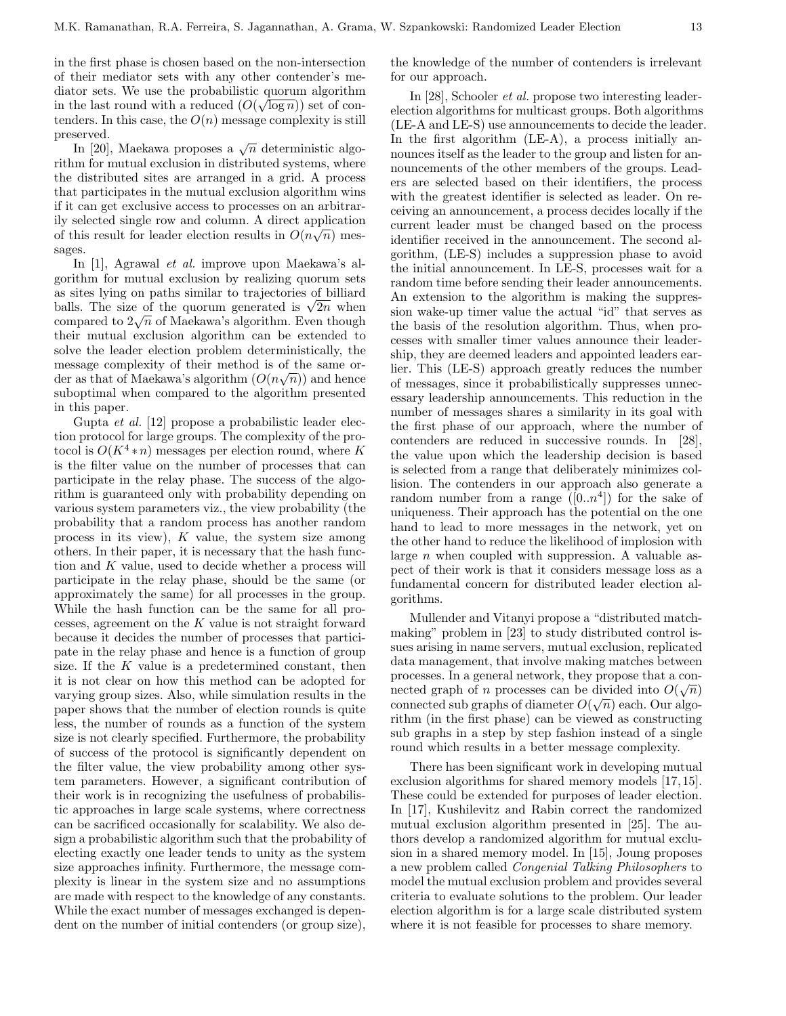in the first phase is chosen based on the non-intersection of their mediator sets with any other contender's mediator sets. We use the probabilistic quorum algorithm in the last round with a reduced  $(O(\sqrt{\log n}))$  set of contenders. In this case, the  $O(n)$  message complexity is still preserved.

In [20], Maekawa proposes a  $\sqrt{n}$  deterministic algorithm for mutual exclusion in distributed systems, where the distributed sites are arranged in a grid. A process that participates in the mutual exclusion algorithm wins if it can get exclusive access to processes on an arbitrarily selected single row and column. A direct application of this result for leader election results in  $O(n\sqrt{n})$  messages.

In [1], Agrawal et al. improve upon Maekawa's algorithm for mutual exclusion by realizing quorum sets as sites lying on paths similar to trajectories of billiard balls. The size of the quorum generated is  $\sqrt{2n}$  when compared to  $2\sqrt{n}$  of Maekawa's algorithm. Even though their mutual exclusion algorithm can be extended to solve the leader election problem deterministically, the message complexity of their method is of the same order as that of Maekawa's algorithm  $(O(n\sqrt{n}))$  and hence suboptimal when compared to the algorithm presented in this paper.

Gupta et al. [12] propose a probabilistic leader election protocol for large groups. The complexity of the protocol is  $O(K^4 * n)$  messages per election round, where K is the filter value on the number of processes that can participate in the relay phase. The success of the algorithm is guaranteed only with probability depending on various system parameters viz., the view probability (the probability that a random process has another random process in its view),  $K$  value, the system size among others. In their paper, it is necessary that the hash function and K value, used to decide whether a process will participate in the relay phase, should be the same (or approximately the same) for all processes in the group. While the hash function can be the same for all processes, agreement on the  $K$  value is not straight forward because it decides the number of processes that participate in the relay phase and hence is a function of group size. If the  $K$  value is a predetermined constant, then it is not clear on how this method can be adopted for varying group sizes. Also, while simulation results in the paper shows that the number of election rounds is quite less, the number of rounds as a function of the system size is not clearly specified. Furthermore, the probability of success of the protocol is significantly dependent on the filter value, the view probability among other system parameters. However, a significant contribution of their work is in recognizing the usefulness of probabilistic approaches in large scale systems, where correctness can be sacrificed occasionally for scalability. We also design a probabilistic algorithm such that the probability of electing exactly one leader tends to unity as the system size approaches infinity. Furthermore, the message complexity is linear in the system size and no assumptions are made with respect to the knowledge of any constants. While the exact number of messages exchanged is dependent on the number of initial contenders (or group size), the knowledge of the number of contenders is irrelevant for our approach.

In [28], Schooler et al. propose two interesting leaderelection algorithms for multicast groups. Both algorithms (LE-A and LE-S) use announcements to decide the leader. In the first algorithm (LE-A), a process initially announces itself as the leader to the group and listen for announcements of the other members of the groups. Leaders are selected based on their identifiers, the process with the greatest identifier is selected as leader. On receiving an announcement, a process decides locally if the current leader must be changed based on the process identifier received in the announcement. The second algorithm, (LE-S) includes a suppression phase to avoid the initial announcement. In LE-S, processes wait for a random time before sending their leader announcements. An extension to the algorithm is making the suppression wake-up timer value the actual "id" that serves as the basis of the resolution algorithm. Thus, when processes with smaller timer values announce their leadership, they are deemed leaders and appointed leaders earlier. This (LE-S) approach greatly reduces the number of messages, since it probabilistically suppresses unnecessary leadership announcements. This reduction in the number of messages shares a similarity in its goal with the first phase of our approach, where the number of contenders are reduced in successive rounds. In [28], the value upon which the leadership decision is based is selected from a range that deliberately minimizes collision. The contenders in our approach also generate a random number from a range  $([0..n^4])$  for the sake of uniqueness. Their approach has the potential on the one hand to lead to more messages in the network, yet on the other hand to reduce the likelihood of implosion with large n when coupled with suppression. A valuable aspect of their work is that it considers message loss as a fundamental concern for distributed leader election algorithms.

Mullender and Vitanyi propose a "distributed matchmaking" problem in [23] to study distributed control issues arising in name servers, mutual exclusion, replicated data management, that involve making matches between processes. In a general network, they propose that a connected graph of *n* processes can be divided into  $O(\sqrt{n})$ connected sub graphs of diameter  $O(\sqrt{n})$  each. Our algorithm (in the first phase) can be viewed as constructing sub graphs in a step by step fashion instead of a single round which results in a better message complexity.

There has been significant work in developing mutual exclusion algorithms for shared memory models [17,15]. These could be extended for purposes of leader election. In [17], Kushilevitz and Rabin correct the randomized mutual exclusion algorithm presented in [25]. The authors develop a randomized algorithm for mutual exclusion in a shared memory model. In [15], Joung proposes a new problem called Congenial Talking Philosophers to model the mutual exclusion problem and provides several criteria to evaluate solutions to the problem. Our leader election algorithm is for a large scale distributed system where it is not feasible for processes to share memory.